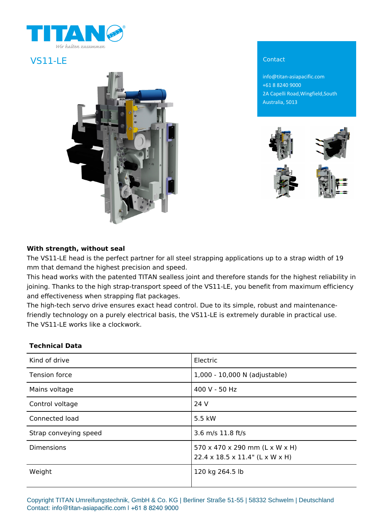

# VS11-LE Contact



info@titan-asiapacific.com +61 8 8240 9000 2A Capelli Road,Wingfield,South Australia, 5013



### **With strength, without seal**

The VS11-LE head is the perfect partner for all steel strapping applications up to a strap width of 19 mm that demand the highest precision and speed.

This head works with the patented TITAN sealless joint and therefore stands for the highest reliability in joining. Thanks to the high strap-transport speed of the VS11-LE, you benefit from maximum efficiency and effectiveness when strapping flat packages.

The high-tech servo drive ensures exact head control. Due to its simple, robust and maintenancefriendly technology on a purely electrical basis, the VS11-LE is extremely durable in practical use. The VS11-LE works like a clockwork.

### **Technical Data**

| Kind of drive         | Electric                                                                       |
|-----------------------|--------------------------------------------------------------------------------|
| <b>Tension force</b>  | 1,000 - 10,000 N (adjustable)                                                  |
| Mains voltage         | 400 V - 50 Hz                                                                  |
| Control voltage       | 24 V                                                                           |
| Connected load        | 5.5 kW                                                                         |
| Strap conveying speed | 3.6 m/s 11.8 ft/s                                                              |
| <b>Dimensions</b>     | 570 x 470 x 290 mm (L x W x H)<br>$22.4 \times 18.5 \times 11.4$ " (L x W x H) |
| Weight                | 120 kg 264.5 lb                                                                |

Copyright TITAN Umreifungstechnik, GmbH & Co. KG | Berliner Straße 51-55 | 58332 Schwelm | Deutschland Contact: info@titan-asiapacific.com | +61 8 8240 9000